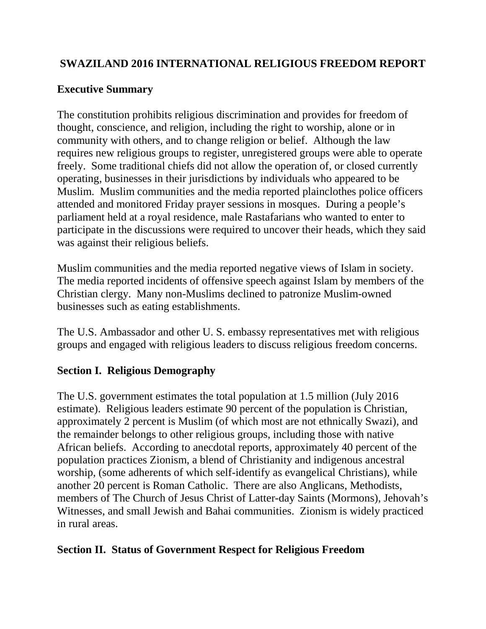# **SWAZILAND 2016 INTERNATIONAL RELIGIOUS FREEDOM REPORT**

# **Executive Summary**

The constitution prohibits religious discrimination and provides for freedom of thought, conscience, and religion, including the right to worship, alone or in community with others, and to change religion or belief. Although the law requires new religious groups to register, unregistered groups were able to operate freely. Some traditional chiefs did not allow the operation of, or closed currently operating, businesses in their jurisdictions by individuals who appeared to be Muslim. Muslim communities and the media reported plainclothes police officers attended and monitored Friday prayer sessions in mosques. During a people's parliament held at a royal residence, male Rastafarians who wanted to enter to participate in the discussions were required to uncover their heads, which they said was against their religious beliefs.

Muslim communities and the media reported negative views of Islam in society. The media reported incidents of offensive speech against Islam by members of the Christian clergy. Many non-Muslims declined to patronize Muslim-owned businesses such as eating establishments.

The U.S. Ambassador and other U. S. embassy representatives met with religious groups and engaged with religious leaders to discuss religious freedom concerns.

# **Section I. Religious Demography**

The U.S. government estimates the total population at 1.5 million (July 2016 estimate). Religious leaders estimate 90 percent of the population is Christian, approximately 2 percent is Muslim (of which most are not ethnically Swazi), and the remainder belongs to other religious groups, including those with native African beliefs. According to anecdotal reports, approximately 40 percent of the population practices Zionism, a blend of Christianity and indigenous ancestral worship, (some adherents of which self-identify as evangelical Christians), while another 20 percent is Roman Catholic. There are also Anglicans, Methodists, members of The Church of Jesus Christ of Latter-day Saints (Mormons), Jehovah's Witnesses, and small Jewish and Bahai communities. Zionism is widely practiced in rural areas.

## **Section II. Status of Government Respect for Religious Freedom**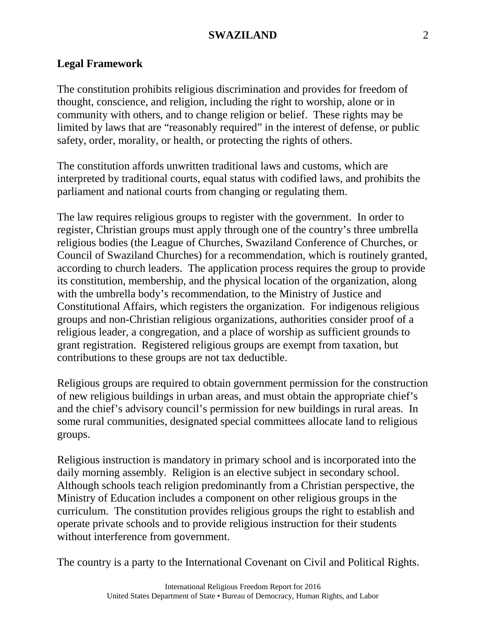### **SWAZILAND** 2

#### **Legal Framework**

The constitution prohibits religious discrimination and provides for freedom of thought, conscience, and religion, including the right to worship, alone or in community with others, and to change religion or belief. These rights may be limited by laws that are "reasonably required" in the interest of defense, or public safety, order, morality, or health, or protecting the rights of others.

The constitution affords unwritten traditional laws and customs, which are interpreted by traditional courts, equal status with codified laws, and prohibits the parliament and national courts from changing or regulating them.

The law requires religious groups to register with the government. In order to register, Christian groups must apply through one of the country's three umbrella religious bodies (the League of Churches, Swaziland Conference of Churches, or Council of Swaziland Churches) for a recommendation, which is routinely granted, according to church leaders. The application process requires the group to provide its constitution, membership, and the physical location of the organization, along with the umbrella body's recommendation, to the Ministry of Justice and Constitutional Affairs, which registers the organization. For indigenous religious groups and non-Christian religious organizations, authorities consider proof of a religious leader, a congregation, and a place of worship as sufficient grounds to grant registration. Registered religious groups are exempt from taxation, but contributions to these groups are not tax deductible.

Religious groups are required to obtain government permission for the construction of new religious buildings in urban areas, and must obtain the appropriate chief's and the chief's advisory council's permission for new buildings in rural areas. In some rural communities, designated special committees allocate land to religious groups.

Religious instruction is mandatory in primary school and is incorporated into the daily morning assembly. Religion is an elective subject in secondary school. Although schools teach religion predominantly from a Christian perspective, the Ministry of Education includes a component on other religious groups in the curriculum. The constitution provides religious groups the right to establish and operate private schools and to provide religious instruction for their students without interference from government.

The country is a party to the International Covenant on Civil and Political Rights.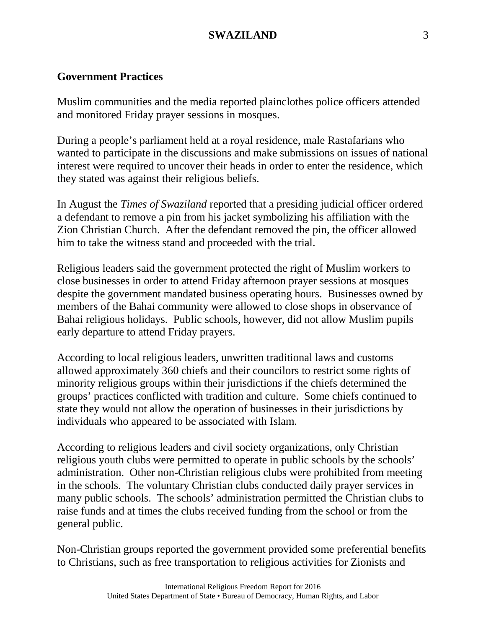### **Government Practices**

Muslim communities and the media reported plainclothes police officers attended and monitored Friday prayer sessions in mosques.

During a people's parliament held at a royal residence, male Rastafarians who wanted to participate in the discussions and make submissions on issues of national interest were required to uncover their heads in order to enter the residence, which they stated was against their religious beliefs.

In August the *Times of Swaziland* reported that a presiding judicial officer ordered a defendant to remove a pin from his jacket symbolizing his affiliation with the Zion Christian Church. After the defendant removed the pin, the officer allowed him to take the witness stand and proceeded with the trial.

Religious leaders said the government protected the right of Muslim workers to close businesses in order to attend Friday afternoon prayer sessions at mosques despite the government mandated business operating hours. Businesses owned by members of the Bahai community were allowed to close shops in observance of Bahai religious holidays. Public schools, however, did not allow Muslim pupils early departure to attend Friday prayers.

According to local religious leaders, unwritten traditional laws and customs allowed approximately 360 chiefs and their councilors to restrict some rights of minority religious groups within their jurisdictions if the chiefs determined the groups' practices conflicted with tradition and culture. Some chiefs continued to state they would not allow the operation of businesses in their jurisdictions by individuals who appeared to be associated with Islam.

According to religious leaders and civil society organizations, only Christian religious youth clubs were permitted to operate in public schools by the schools' administration. Other non-Christian religious clubs were prohibited from meeting in the schools. The voluntary Christian clubs conducted daily prayer services in many public schools. The schools' administration permitted the Christian clubs to raise funds and at times the clubs received funding from the school or from the general public.

Non-Christian groups reported the government provided some preferential benefits to Christians, such as free transportation to religious activities for Zionists and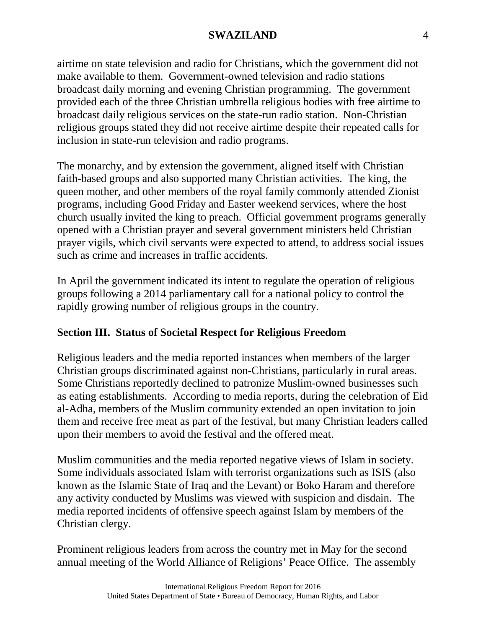#### **SWAZILAND** 4

airtime on state television and radio for Christians, which the government did not make available to them. Government-owned television and radio stations broadcast daily morning and evening Christian programming. The government provided each of the three Christian umbrella religious bodies with free airtime to broadcast daily religious services on the state-run radio station. Non-Christian religious groups stated they did not receive airtime despite their repeated calls for inclusion in state-run television and radio programs.

The monarchy, and by extension the government, aligned itself with Christian faith-based groups and also supported many Christian activities. The king, the queen mother, and other members of the royal family commonly attended Zionist programs, including Good Friday and Easter weekend services, where the host church usually invited the king to preach. Official government programs generally opened with a Christian prayer and several government ministers held Christian prayer vigils, which civil servants were expected to attend, to address social issues such as crime and increases in traffic accidents.

In April the government indicated its intent to regulate the operation of religious groups following a 2014 parliamentary call for a national policy to control the rapidly growing number of religious groups in the country.

## **Section III. Status of Societal Respect for Religious Freedom**

Religious leaders and the media reported instances when members of the larger Christian groups discriminated against non-Christians, particularly in rural areas. Some Christians reportedly declined to patronize Muslim-owned businesses such as eating establishments. According to media reports, during the celebration of Eid al-Adha, members of the Muslim community extended an open invitation to join them and receive free meat as part of the festival, but many Christian leaders called upon their members to avoid the festival and the offered meat.

Muslim communities and the media reported negative views of Islam in society. Some individuals associated Islam with terrorist organizations such as ISIS (also known as the Islamic State of Iraq and the Levant) or Boko Haram and therefore any activity conducted by Muslims was viewed with suspicion and disdain. The media reported incidents of offensive speech against Islam by members of the Christian clergy.

Prominent religious leaders from across the country met in May for the second annual meeting of the World Alliance of Religions' Peace Office. The assembly